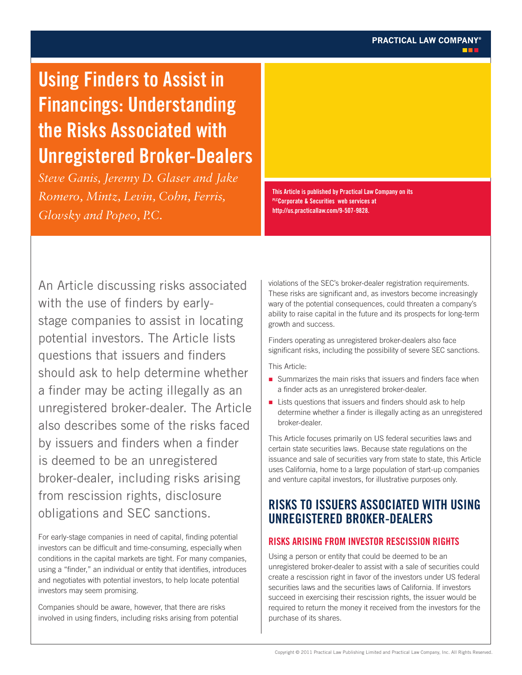# **Using Finders to Assist in Financings: Understanding the Risks Associated with Unregistered Broker-Dealers**

*Steve Ganis, Jeremy D. Glaser and Jake Romero, Mintz, Levin, Cohn, Ferris, Glovsky and Popeo, P.C.*

**This Article is published by Practical Law Company on its PLCCorporate & Securities web services at http://us.practicallaw.com/9-507-9828.**

An Article discussing risks associated with the use of finders by earlystage companies to assist in locating potential investors. The Article lists questions that issuers and finders should ask to help determine whether a finder may be acting illegally as an unregistered broker-dealer. The Article also describes some of the risks faced by issuers and finders when a finder is deemed to be an unregistered broker-dealer, including risks arising from rescission rights, disclosure obligations and SEC sanctions.

For early-stage companies in need of capital, finding potential investors can be difficult and time-consuming, especially when conditions in the capital markets are tight. For many companies, using a "finder," an individual or entity that identifies, introduces and negotiates with potential investors, to help locate potential investors may seem promising.

Companies should be aware, however, that there are risks involved in using finders, including risks arising from potential violations of the SEC's broker-dealer registration requirements. These risks are significant and, as investors become increasingly wary of the potential consequences, could threaten a company's ability to raise capital in the future and its prospects for long-term growth and success.

Finders operating as unregistered broker-dealers also face significant risks, including the possibility of severe SEC sanctions.

This Article:

- Summarizes the main risks that issuers and finders face when a finder acts as an unregistered broker-dealer.
- Lists questions that issuers and finders should ask to help determine whether a finder is illegally acting as an unregistered broker-dealer.

This Article focuses primarily on US federal securities laws and certain state securities laws. Because state regulations on the issuance and sale of securities vary from state to state, this Article uses California, home to a large population of start-up companies and venture capital investors, for illustrative purposes only.

# **RISKS TO ISSUERS ASSOCIATED WITH USING UNREGISTERED BROKER-DEALERS**

# **RISKS ARISING FROM INVESTOR RESCISSION RIGHTS**

Using a person or entity that could be deemed to be an unregistered broker-dealer to assist with a sale of securities could create a rescission right in favor of the investors under US federal securities laws and the securities laws of California. If investors succeed in exercising their rescission rights, the issuer would be required to return the money it received from the investors for the purchase of its shares.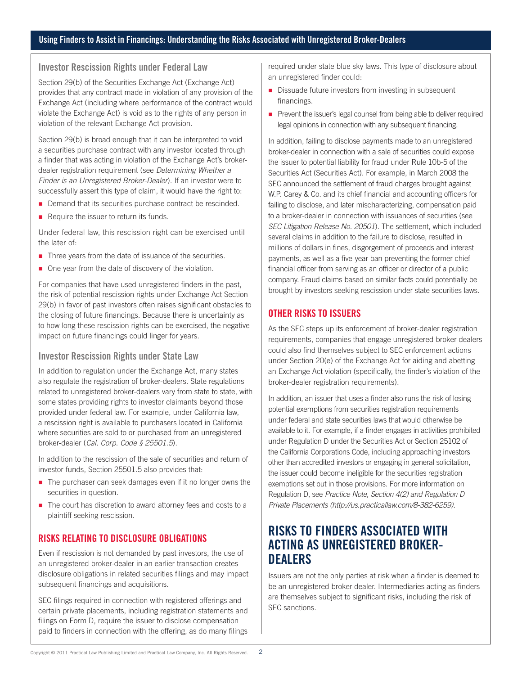#### **Investor Rescission Rights under Federal Law**

Section 29(b) of the Securities Exchange Act (Exchange Act) provides that any contract made in violation of any provision of the Exchange Act (including where performance of the contract would violate the Exchange Act) is void as to the rights of any person in violation of the relevant Exchange Act provision.

Section 29(b) is broad enough that it can be interpreted to void a securities purchase contract with any investor located through a finder that was acting in violation of the Exchange Act's brokerdealer registration requirement (see *Determining Whether a Finder is an Unregistered Broker-Dealer*). If an investor were to successfully assert this type of claim, it would have the right to:

- Demand that its securities purchase contract be rescinded.
- Require the issuer to return its funds.

Under federal law, this rescission right can be exercised until the later of:

- Three years from the date of issuance of the securities.
- One year from the date of discovery of the violation.

For companies that have used unregistered finders in the past, the risk of potential rescission rights under Exchange Act Section 29(b) in favor of past investors often raises significant obstacles to the closing of future financings. Because there is uncertainty as to how long these rescission rights can be exercised, the negative impact on future financings could linger for years.

# **Investor Rescission Rights under State Law**

In addition to regulation under the Exchange Act, many states also regulate the registration of broker-dealers. State regulations related to unregistered broker-dealers vary from state to state, with some states providing rights to investor claimants beyond those provided under federal law. For example, under California law, a rescission right is available to purchasers located in California where securities are sold to or purchased from an unregistered broker-dealer (*Cal. Corp. Code § 25501.5*).

In addition to the rescission of the sale of securities and return of investor funds, Section 25501.5 also provides that:

- The purchaser can seek damages even if it no longer owns the securities in question.
- The court has discretion to award attorney fees and costs to a plaintiff seeking rescission.

# **RISKS RELATING TO DISCLOSURE OBLIGATIONS**

Even if rescission is not demanded by past investors, the use of an unregistered broker-dealer in an earlier transaction creates disclosure obligations in related securities filings and may impact subsequent financings and acquisitions.

SEC filings required in connection with registered offerings and certain private placements, including registration statements and filings on Form D, require the issuer to disclose compensation paid to finders in connection with the offering, as do many filings

required under state blue sky laws. This type of disclosure about an unregistered finder could:

- Dissuade future investors from investing in subsequent financings.
- **Prevent the issuer's legal counsel from being able to deliver required** legal opinions in connection with any subsequent financing.

In addition, failing to disclose payments made to an unregistered broker-dealer in connection with a sale of securities could expose the issuer to potential liability for fraud under Rule 10b-5 of the Securities Act (Securities Act). For example, in March 2008 the SEC announced the settlement of fraud charges brought against W.P. Carey & Co. and its chief financial and accounting officers for failing to disclose, and later mischaracterizing, compensation paid to a broker-dealer in connection with issuances of securities (see *SEC Litigation Release No. 20501*). The settlement, which included several claims in addition to the failure to disclose, resulted in millions of dollars in fines, disgorgement of proceeds and interest payments, as well as a five-year ban preventing the former chief financial officer from serving as an officer or director of a public company. Fraud claims based on similar facts could potentially be brought by investors seeking rescission under state securities laws.

# **OTHER RISKS TO ISSUERS**

As the SEC steps up its enforcement of broker-dealer registration requirements, companies that engage unregistered broker-dealers could also find themselves subject to SEC enforcement actions under Section 20(e) of the Exchange Act for aiding and abetting an Exchange Act violation (specifically, the finder's violation of the broker-dealer registration requirements).

In addition, an issuer that uses a finder also runs the risk of losing potential exemptions from securities registration requirements under federal and state securities laws that would otherwise be available to it. For example, if a finder engages in activities prohibited under Regulation D under the Securities Act or Section 25102 of the California Corporations Code, including approaching investors other than accredited investors or engaging in general solicitation, the issuer could become ineligible for the securities registration exemptions set out in those provisions. For more information on Regulation D, see *Practice Note, Section 4(2) and Regulation D Private Placements (http://us.practicallaw.com/8-382-6259)*.

# **RISKS TO FINDERS ASSOCIATED WITH ACTING AS UNREGISTERED BROKER-DEALERS**

Issuers are not the only parties at risk when a finder is deemed to be an unregistered broker-dealer. Intermediaries acting as finders are themselves subject to significant risks, including the risk of SEC sanctions.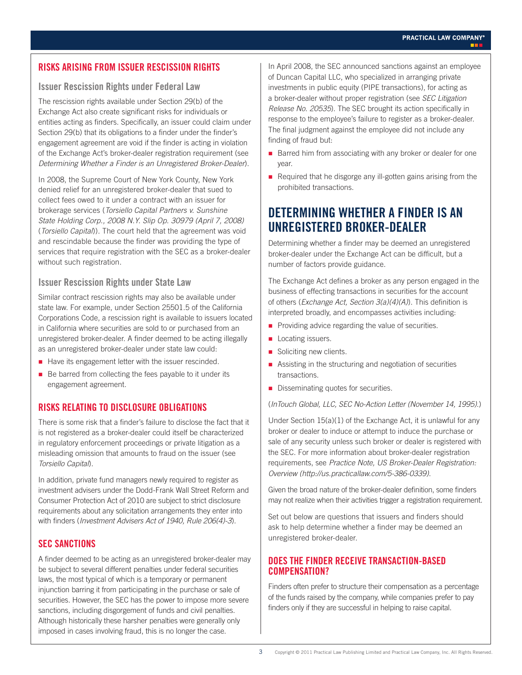# **RISKS ARISING FROM ISSUER RESCISSION RIGHTS**

# **Issuer Rescission Rights under Federal Law**

The rescission rights available under Section 29(b) of the Exchange Act also create significant risks for individuals or entities acting as finders. Specifically, an issuer could claim under Section 29(b) that its obligations to a finder under the finder's engagement agreement are void if the finder is acting in violation of the Exchange Act's broker-dealer registration requirement (see *Determining Whether a Finder is an Unregistered Broker-Dealer*).

In 2008, the Supreme Court of New York County, New York denied relief for an unregistered broker-dealer that sued to collect fees owed to it under a contract with an issuer for brokerage services (*Torsiello Capital Partners v. Sunshine State Holding Corp., 2008 N.Y. Slip Op. 30979 (April 7, 2008)* (*Torsiello Capital*)). The court held that the agreement was void and rescindable because the finder was providing the type of services that require registration with the SEC as a broker-dealer without such registration.

#### **Issuer Rescission Rights under State Law**

Similar contract rescission rights may also be available under state law. For example, under Section 25501.5 of the California Corporations Code, a rescission right is available to issuers located in California where securities are sold to or purchased from an unregistered broker-dealer. A finder deemed to be acting illegally as an unregistered broker-dealer under state law could:

- Have its engagement letter with the issuer rescinded.
- Be barred from collecting the fees payable to it under its engagement agreement.

# **RISKS RELATING TO DISCLOSURE OBLIGATIONS**

There is some risk that a finder's failure to disclose the fact that it is not registered as a broker-dealer could itself be characterized in regulatory enforcement proceedings or private litigation as a misleading omission that amounts to fraud on the issuer (see *Torsiello Capital*).

In addition, private fund managers newly required to register as investment advisers under the Dodd-Frank Wall Street Reform and Consumer Protection Act of 2010 are subject to strict disclosure requirements about any solicitation arrangements they enter into with finders (*Investment Advisers Act of 1940, Rule 206(4)-3*).

# **SEC SANCTIONS**

A finder deemed to be acting as an unregistered broker-dealer may be subject to several different penalties under federal securities laws, the most typical of which is a temporary or permanent injunction barring it from participating in the purchase or sale of securities. However, the SEC has the power to impose more severe sanctions, including disgorgement of funds and civil penalties. Although historically these harsher penalties were generally only imposed in cases involving fraud, this is no longer the case.

In April 2008, the SEC announced sanctions against an employee of Duncan Capital LLC, who specialized in arranging private investments in public equity (PIPE transactions), for acting as a broker-dealer without proper registration (see *SEC Litigation Release No. 20535*). The SEC brought its action specifically in response to the employee's failure to register as a broker-dealer. The final judgment against the employee did not include any finding of fraud but:

- Barred him from associating with any broker or dealer for one year.
- Required that he disgorge any ill-gotten gains arising from the prohibited transactions.

# **DETERMINING WHETHER A FINDER IS AN UNREGISTERED BROKER-DEALER**

Determining whether a finder may be deemed an unregistered broker-dealer under the Exchange Act can be difficult, but a number of factors provide guidance.

The Exchange Act defines a broker as any person engaged in the business of effecting transactions in securities for the account of others (*Exchange Act, Section 3(a)(4)(A)*). This definition is interpreted broadly, and encompasses activities including:

- Providing advice regarding the value of securities.
- **Locating issuers.**
- Soliciting new clients.
- Assisting in the structuring and negotiation of securities transactions.
- Disseminating quotes for securities.

(*InTouch Global, LLC, SEC No-Action Letter (November 14, 1995)*.)

Under Section 15(a)(1) of the Exchange Act, it is unlawful for any broker or dealer to induce or attempt to induce the purchase or sale of any security unless such broker or dealer is registered with the SEC. For more information about broker-dealer registration requirements, see *Practice Note, US Broker-Dealer Registration: Overview (http://us.practicallaw.com/5-386-0339)*.

Given the broad nature of the broker-dealer definition, some finders may not realize when their activities trigger a registration requirement.

Set out below are questions that issuers and finders should ask to help determine whether a finder may be deemed an unregistered broker-dealer.

# **DOES THE FINDER RECEIVE TRANSACTION-BASED COMPENSATION?**

Finders often prefer to structure their compensation as a percentage of the funds raised by the company, while companies prefer to pay finders only if they are successful in helping to raise capital.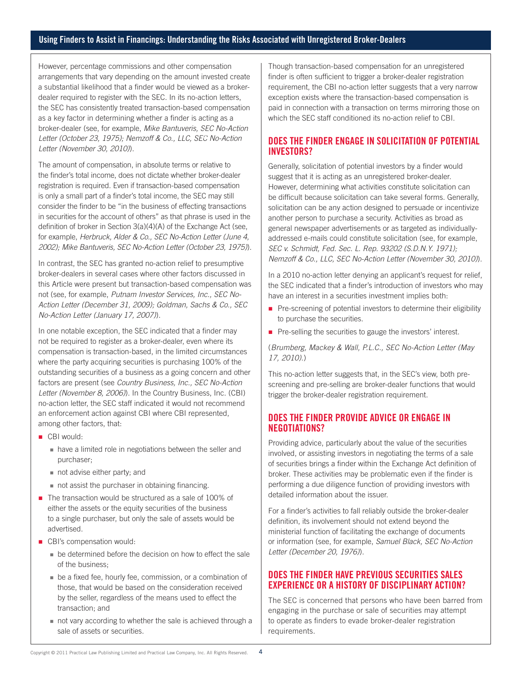#### **Using Finders to Assist in Financings: Understanding the Risks Associated with Unregistered Broker-Dealers**

However, percentage commissions and other compensation arrangements that vary depending on the amount invested create a substantial likelihood that a finder would be viewed as a brokerdealer required to register with the SEC. In its no-action letters, the SEC has consistently treated transaction-based compensation as a key factor in determining whether a finder is acting as a broker-dealer (see, for example, *Mike Bantuveris, SEC No-Action Letter (October 23, 1975); Nemzoff & Co., LLC, SEC No-Action Letter (November 30, 2010)*).

The amount of compensation, in absolute terms or relative to the finder's total income, does not dictate whether broker-dealer registration is required. Even if transaction-based compensation is only a small part of a finder's total income, the SEC may still consider the finder to be "in the business of effecting transactions in securities for the account of others" as that phrase is used in the definition of broker in Section 3(a)(4)(A) of the Exchange Act (see, for example, *Herbruck, Alder & Co., SEC No-Action Letter (June 4, 2002); Mike Bantuveris, SEC No-Action Letter (October 23, 1975)*).

In contrast, the SEC has granted no-action relief to presumptive broker-dealers in several cases where other factors discussed in this Article were present but transaction-based compensation was not (see, for example, *Putnam Investor Services, Inc., SEC No-Action Letter (December 31, 2009); Goldman, Sachs & Co., SEC No-Action Letter (January 17, 2007)*).

In one notable exception, the SEC indicated that a finder may not be required to register as a broker-dealer, even where its compensation is transaction-based, in the limited circumstances where the party acquiring securities is purchasing 100% of the outstanding securities of a business as a going concern and other factors are present (see *Country Business, Inc., SEC No-Action Letter (November 8, 2006)*). In the Country Business, Inc. (CBI) no-action letter, the SEC staff indicated it would not recommend an enforcement action against CBI where CBI represented, among other factors, that:

- CBI would:
	- have a limited role in negotiations between the seller and purchaser;
	- not advise either party; and
	- not assist the purchaser in obtaining financing.
- The transaction would be structured as a sale of 100% of either the assets or the equity securities of the business to a single purchaser, but only the sale of assets would be advertised.
- CBI's compensation would:
	- be determined before the decision on how to effect the sale of the business;
	- be a fixed fee, hourly fee, commission, or a combination of those, that would be based on the consideration received by the seller, regardless of the means used to effect the transaction; and
	- not vary according to whether the sale is achieved through a sale of assets or securities.

Though transaction-based compensation for an unregistered finder is often sufficient to trigger a broker-dealer registration requirement, the CBI no-action letter suggests that a very narrow exception exists where the transaction-based compensation is paid in connection with a transaction on terms mirroring those on which the SEC staff conditioned its no-action relief to CBI.

#### **DOES THE FINDER ENGAGE IN SOLICITATION OF POTENTIAL INVESTORS?**

Generally, solicitation of potential investors by a finder would suggest that it is acting as an unregistered broker-dealer. However, determining what activities constitute solicitation can be difficult because solicitation can take several forms. Generally, solicitation can be any action designed to persuade or incentivize another person to purchase a security. Activities as broad as general newspaper advertisements or as targeted as individuallyaddressed e-mails could constitute solicitation (see, for example, *SEC v. Schmidt, Fed. Sec. L. Rep. 93202 (S.D.N.Y. 1971); Nemzoff & Co., LLC, SEC No-Action Letter (November 30, 2010)*).

In a 2010 no-action letter denying an applicant's request for relief, the SEC indicated that a finder's introduction of investors who may have an interest in a securities investment implies both:

- $\blacksquare$  Pre-screening of potential investors to determine their eligibility to purchase the securities.
- Pre-selling the securities to gauge the investors' interest.

(*Brumberg, Mackey & Wall, P.L.C., SEC No-Action Letter (May 17, 2010)*.)

This no-action letter suggests that, in the SEC's view, both prescreening and pre-selling are broker-dealer functions that would trigger the broker-dealer registration requirement.

# **DOES THE FINDER PROVIDE ADVICE OR ENGAGE IN NEGOTIATIONS?**

Providing advice, particularly about the value of the securities involved, or assisting investors in negotiating the terms of a sale of securities brings a finder within the Exchange Act definition of broker. These activities may be problematic even if the finder is performing a due diligence function of providing investors with detailed information about the issuer.

For a finder's activities to fall reliably outside the broker-dealer definition, its involvement should not extend beyond the ministerial function of facilitating the exchange of documents or information (see, for example, *Samuel Black, SEC No-Action Letter (December 20, 1976)*).

# **DOES THE FINDER HAVE PREVIOUS SECURITIES SALES EXPERIENCE OR A HISTORY OF DISCIPLINARY ACTION?**

The SEC is concerned that persons who have been barred from engaging in the purchase or sale of securities may attempt to operate as finders to evade broker-dealer registration requirements.